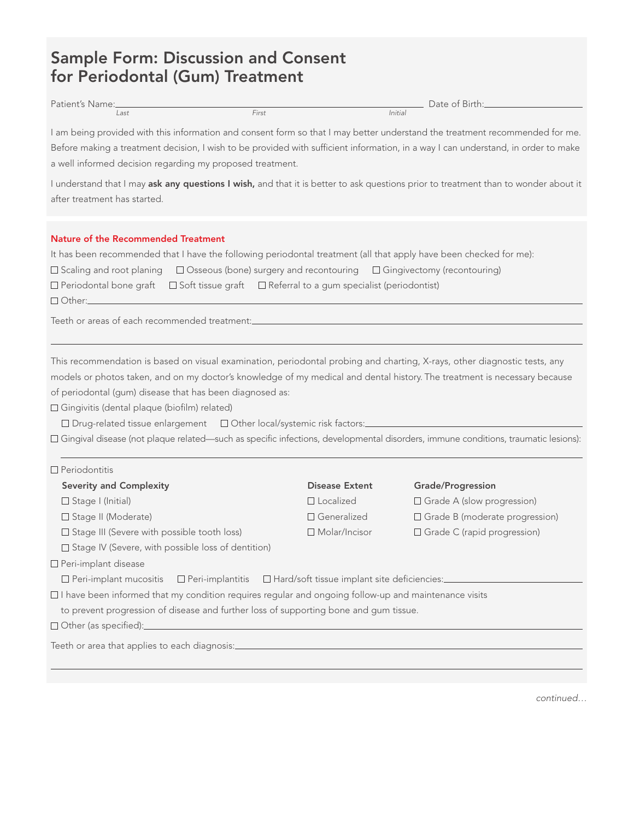# Sample Form: Discussion and Consent for Periodontal (Gum) Treatment

| Patient's Name: |       | $ -$<br>Date of '<br>Birth: |  |  |
|-----------------|-------|-----------------------------|--|--|
| Last            | First | Initial                     |  |  |

I am being provided with this information and consent form so that I may better understand the treatment recommended for me. Before making a treatment decision, I wish to be provided with sufficient information, in a way I can understand, in order to make a well informed decision regarding my proposed treatment.

I understand that I may ask any questions I wish, and that it is better to ask questions prior to treatment than to wonder about it after treatment has started.

## Nature of the Recommended Treatment

It has been recommended that I have the following periodontal treatment (all that apply have been checked for me):

| $\square$ Scaling and root planing |  | □ Osseous (bone) surgery and recontouring | □ Gingivectomy (recontouring) |  |
|------------------------------------|--|-------------------------------------------|-------------------------------|--|
|------------------------------------|--|-------------------------------------------|-------------------------------|--|

 $\Box$  Periodontal bone graft  $\Box$  Soft tissue graft  $\Box$  Referral to a gum specialist (periodontist)

Other:

Periodontitis

Teeth or areas of each recommended treatment:

This recommendation is based on visual examination, periodontal probing and charting, X-rays, other diagnostic tests, any models or photos taken, and on my doctor's knowledge of my medical and dental history. The treatment is necessary because of periodontal (gum) disease that has been diagnosed as:

Gingivitis (dental plaque (biofilm) related)

 $\Box$  Drug-related tissue enlargement  $\Box$  Other local/systemic risk factors: $\Box$ 

Gingival disease (not plaque related—such as specific infections, developmental disorders, immune conditions, traumatic lesions):

| ______________                                                                                              |                       |                                       |  |  |
|-------------------------------------------------------------------------------------------------------------|-----------------------|---------------------------------------|--|--|
| <b>Severity and Complexity</b>                                                                              | <b>Disease Extent</b> | Grade/Progression                     |  |  |
| $\Box$ Stage I (Initial)                                                                                    | $\Box$ Localized      | $\Box$ Grade A (slow progression)     |  |  |
| $\Box$ Stage II (Moderate)                                                                                  | $\Box$ Generalized    | $\Box$ Grade B (moderate progression) |  |  |
| $\Box$ Stage III (Severe with possible tooth loss)                                                          | $\Box$ Molar/Incisor  | $\Box$ Grade C (rapid progression)    |  |  |
| $\Box$ Stage IV (Severe, with possible loss of dentition)                                                   |                       |                                       |  |  |
| $\Box$ Peri-implant disease                                                                                 |                       |                                       |  |  |
| □ Peri-implant mucositis □ Peri-implantitis □ Hard/soft tissue implant site deficiencies:                   |                       |                                       |  |  |
| $\Box$ I have been informed that my condition requires regular and ongoing follow-up and maintenance visits |                       |                                       |  |  |
| to prevent progression of disease and further loss of supporting bone and gum tissue.                       |                       |                                       |  |  |
| □ Other (as specified):________                                                                             |                       |                                       |  |  |
| Teeth or area that applies to each diagnosis:                                                               |                       |                                       |  |  |
|                                                                                                             |                       |                                       |  |  |

continued…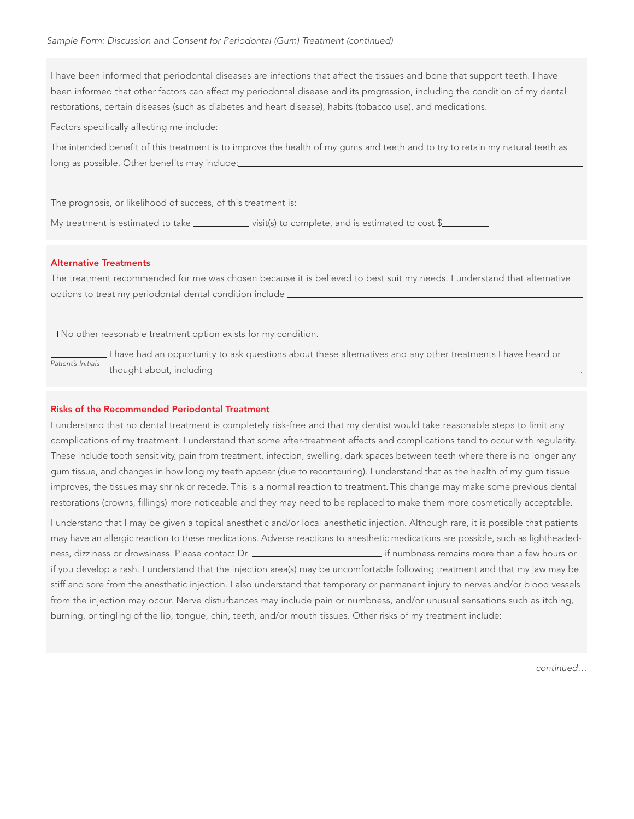I have been informed that periodontal diseases are infections that affect the tissues and bone that support teeth. I have been informed that other factors can affect my periodontal disease and its progression, including the condition of my dental restorations, certain diseases (such as diabetes and heart disease), habits (tobacco use), and medications.

Factors specifically affecting me include:

The intended benefit of this treatment is to improve the health of my gums and teeth and to try to retain my natural teeth as long as possible. Other benefits may include:

The prognosis, or likelihood of success, of this treatment is:

My treatment is estimated to take  $\frac{1}{\sqrt{2}}$  visit(s) to complete, and is estimated to cost \$ $\frac{1}{\sqrt{2}}$ 

## Alternative Treatments

The treatment recommended for me was chosen because it is believed to best suit my needs. I understand that alternative options to treat my periodontal dental condition include

 $\square$  No other reasonable treatment option exists for my condition.

I have had an opportunity to ask questions about these alternatives and any other treatments I have heard or thought about, including \_ Patient's Initials

## Risks of the Recommended Periodontal Treatment

I understand that no dental treatment is completely risk-free and that my dentist would take reasonable steps to limit any complications of my treatment. I understand that some after-treatment effects and complications tend to occur with regularity. These include tooth sensitivity, pain from treatment, infection, swelling, dark spaces between teeth where there is no longer any gum tissue, and changes in how long my teeth appear (due to recontouring). I understand that as the health of my gum tissue improves, the tissues may shrink or recede. This is a normal reaction to treatment. This change may make some previous dental restorations (crowns, fillings) more noticeable and they may need to be replaced to make them more cosmetically acceptable.

I understand that I may be given a topical anesthetic and/or local anesthetic injection. Although rare, it is possible that patients may have an allergic reaction to these medications. Adverse reactions to anesthetic medications are possible, such as lightheadedness, dizziness or drowsiness. Please contact Dr. **inter all any contact and the metal or** if numbness remains more than a few hours or if you develop a rash. I understand that the injection area(s) may be uncomfortable following treatment and that my jaw may be stiff and sore from the anesthetic injection. I also understand that temporary or permanent injury to nerves and/or blood vessels from the injection may occur. Nerve disturbances may include pain or numbness, and/or unusual sensations such as itching, burning, or tingling of the lip, tongue, chin, teeth, and/or mouth tissues. Other risks of my treatment include:

continued…